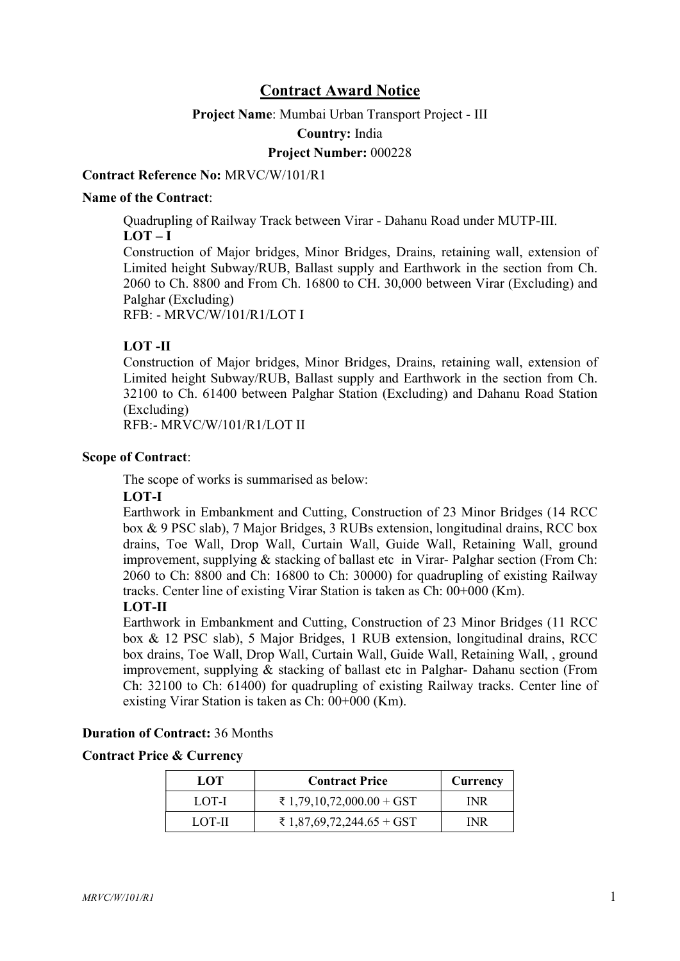# Contract Award Notice

#### Project Name: Mumbai Urban Transport Project - III

Country: India

#### Project Number: 000228

#### Contract Reference No: MRVC/W/101/R1

#### Name of the Contract:

Quadrupling of Railway Track between Virar - Dahanu Road under MUTP-III.  $LOT - I$ 

Construction of Major bridges, Minor Bridges, Drains, retaining wall, extension of Limited height Subway/RUB, Ballast supply and Earthwork in the section from Ch. 2060 to Ch. 8800 and From Ch. 16800 to CH. 30,000 between Virar (Excluding) and Palghar (Excluding)

RFB: - MRVC/W/101/R1/LOT I

## LOT -II

Construction of Major bridges, Minor Bridges, Drains, retaining wall, extension of Limited height Subway/RUB, Ballast supply and Earthwork in the section from Ch. 32100 to Ch. 61400 between Palghar Station (Excluding) and Dahanu Road Station (Excluding)

RFB:- MRVC/W/101/R1/LOT II

#### Scope of Contract:

The scope of works is summarised as below:

#### LOT-I

Earthwork in Embankment and Cutting, Construction of 23 Minor Bridges (14 RCC box & 9 PSC slab), 7 Major Bridges, 3 RUBs extension, longitudinal drains, RCC box drains, Toe Wall, Drop Wall, Curtain Wall, Guide Wall, Retaining Wall, ground improvement, supplying & stacking of ballast etc in Virar-Palghar section (From Ch: 2060 to Ch: 8800 and Ch: 16800 to Ch: 30000) for quadrupling of existing Railway tracks. Center line of existing Virar Station is taken as Ch: 00+000 (Km).

# LOT-II

Earthwork in Embankment and Cutting, Construction of 23 Minor Bridges (11 RCC box & 12 PSC slab), 5 Major Bridges, 1 RUB extension, longitudinal drains, RCC box drains, Toe Wall, Drop Wall, Curtain Wall, Guide Wall, Retaining Wall, , ground improvement, supplying & stacking of ballast etc in Palghar- Dahanu section (From Ch: 32100 to Ch: 61400) for quadrupling of existing Railway tracks. Center line of existing Virar Station is taken as Ch: 00+000 (Km).

#### Duration of Contract: 36 Months

#### Contract Price & Currency

| LOT    | <b>Contract Price</b>     | Currency   |
|--------|---------------------------|------------|
| LOT-I  | ₹ 1,79,10,72,000.00 + GST | <b>INR</b> |
| LOT-II | ₹ 1,87,69,72,244.65 + GST | INR        |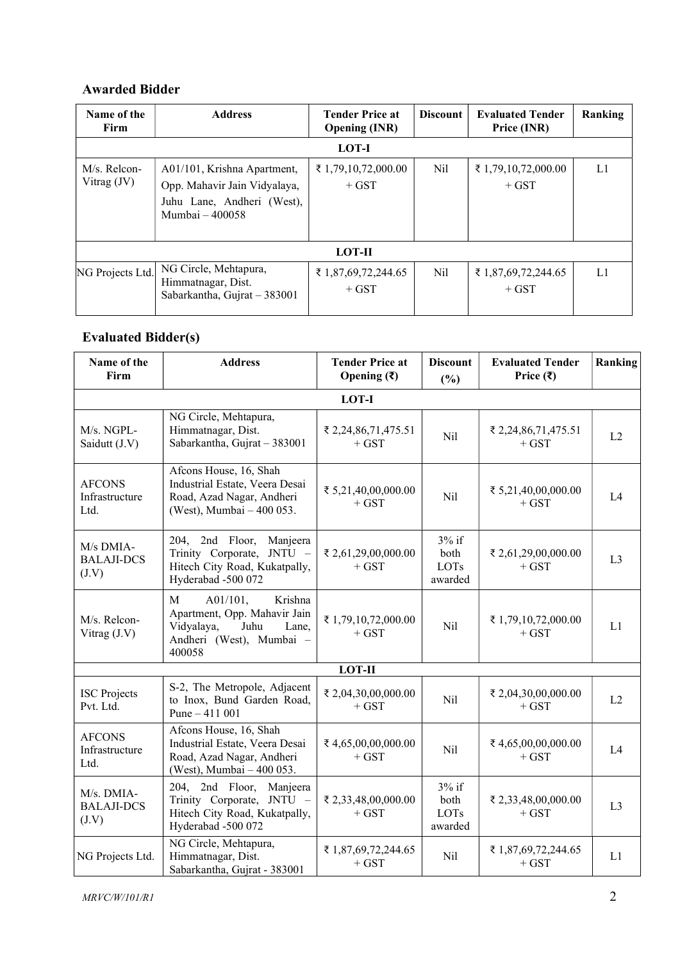## Awarded Bidder

| Name of the<br>Firm           | <b>Address</b>                                                                                               | <b>Tender Price at</b><br><b>Opening (INR)</b> | <b>Discount</b> | <b>Evaluated Tender</b><br>Price (INR) | Ranking |
|-------------------------------|--------------------------------------------------------------------------------------------------------------|------------------------------------------------|-----------------|----------------------------------------|---------|
| LOT-I                         |                                                                                                              |                                                |                 |                                        |         |
| M/s. Relcon-<br>Vitrag $(JV)$ | A01/101, Krishna Apartment,<br>Opp. Mahavir Jain Vidyalaya,<br>Juhu Lane, Andheri (West),<br>Mumbai – 400058 | ₹ 1,79,10,72,000.00<br>$+$ GST                 | Nil             | ₹ 1,79,10,72,000.00<br>$+$ GST         | L1      |
| <b>LOT-II</b>                 |                                                                                                              |                                                |                 |                                        |         |
| NG Projects Ltd.              | NG Circle, Mehtapura,<br>Himmatnagar, Dist.<br>Sabarkantha, Gujrat - 383001                                  | ₹ 1,87,69,72,244.65<br>$+$ GST                 | Nil             | ₹ 1,87,69,72,244.65<br>$+$ GST         | L1      |

# Evaluated Bidder(s)

| Name of the<br>Firm                                                                                                                                           | <b>Address</b>                                                                                                                           | <b>Tender Price at</b><br>Opening $(\overline{\mathbf{x}})$ | <b>Discount</b><br>(%)             | <b>Evaluated Tender</b><br>Price $(\overline{\mathbf{x}})$ | Ranking        |
|---------------------------------------------------------------------------------------------------------------------------------------------------------------|------------------------------------------------------------------------------------------------------------------------------------------|-------------------------------------------------------------|------------------------------------|------------------------------------------------------------|----------------|
|                                                                                                                                                               | LOT-I                                                                                                                                    |                                                             |                                    |                                                            |                |
| M/s. NGPL-<br>Saidutt (J.V)                                                                                                                                   | NG Circle, Mehtapura,<br>Himmatnagar, Dist.<br>Sabarkantha, Gujrat - 383001                                                              | ₹ 2,24,86,71,475.51<br>$+$ GST                              | Nil                                | ₹ 2,24,86,71,475.51<br>$+$ GST                             | L2             |
| <b>AFCONS</b><br>Infrastructure<br>Ltd.                                                                                                                       | Afcons House, 16, Shah<br>Industrial Estate, Veera Desai<br>Road, Azad Nagar, Andheri<br>(West), Mumbai - 400 053.                       | ₹ 5,21,40,00,000.00<br>$+$ GST                              | <b>Nil</b>                         | ₹ 5,21,40,00,000.00<br>$+$ GST                             | L4             |
| M/s DMIA-<br><b>BALAJI-DCS</b><br>(J.V)                                                                                                                       | Manjeera<br>204, 2nd Floor,<br>Trinity Corporate, JNTU -<br>Hitech City Road, Kukatpally,<br>Hyderabad -500 072                          | ₹ 2,61,29,00,000.00<br>$+$ GST                              | $3%$ if<br>both<br>LOTs<br>awarded | ₹ 2,61,29,00,000.00<br>$+$ GST                             | L <sub>3</sub> |
| M/s. Relcon-<br>Vitrag $(J.V)$                                                                                                                                | $\mathbf{M}$<br>A01/101,<br>Krishna<br>Apartment, Opp. Mahavir Jain<br>Vidyalaya,<br>Juhu<br>Lane,<br>Andheri (West), Mumbai -<br>400058 | ₹1,79,10,72,000.00<br>$+$ GST                               | Nil                                | ₹ 1,79,10,72,000.00<br>$+$ GST                             | L1             |
|                                                                                                                                                               | <b>LOT-II</b>                                                                                                                            |                                                             |                                    |                                                            |                |
| <b>ISC</b> Projects<br>Pvt. Ltd.                                                                                                                              | S-2, The Metropole, Adjacent<br>to Inox, Bund Garden Road,<br>Pune $-411001$                                                             | ₹ 2,04,30,00,000.00<br>$+$ GST                              | Nil                                | ₹ 2,04,30,00,000.00<br>$+$ GST                             | L2             |
| Afcons House, 16, Shah<br><b>AFCONS</b><br>Industrial Estate, Veera Desai<br>Infrastructure<br>Road, Azad Nagar, Andheri<br>Ltd.<br>(West), Mumbai - 400 053. |                                                                                                                                          | ₹4,65,00,00,000.00<br>$+$ GST                               | Nil                                | ₹4,65,00,00,000.00<br>$+$ GST                              | L4             |
| M/s. DMIA-<br><b>BALAJI-DCS</b><br>(J.V)                                                                                                                      | 204, 2nd Floor, Manjeera<br>Trinity Corporate, JNTU -<br>Hitech City Road, Kukatpally,<br>Hyderabad -500 072                             | ₹ 2,33,48,00,000.00<br>$+$ GST                              | $3%$ if<br>both<br>LOTs<br>awarded | ₹ 2,33,48,00,000.00<br>$+$ GST                             | L <sub>3</sub> |
| NG Projects Ltd.                                                                                                                                              | NG Circle, Mehtapura,<br>Himmatnagar, Dist.<br>Sabarkantha, Gujrat - 383001                                                              | ₹ 1,87,69,72,244.65<br>$+$ GST                              | Nil                                | ₹ 1,87,69,72,244.65<br>$+$ GST                             | L1             |